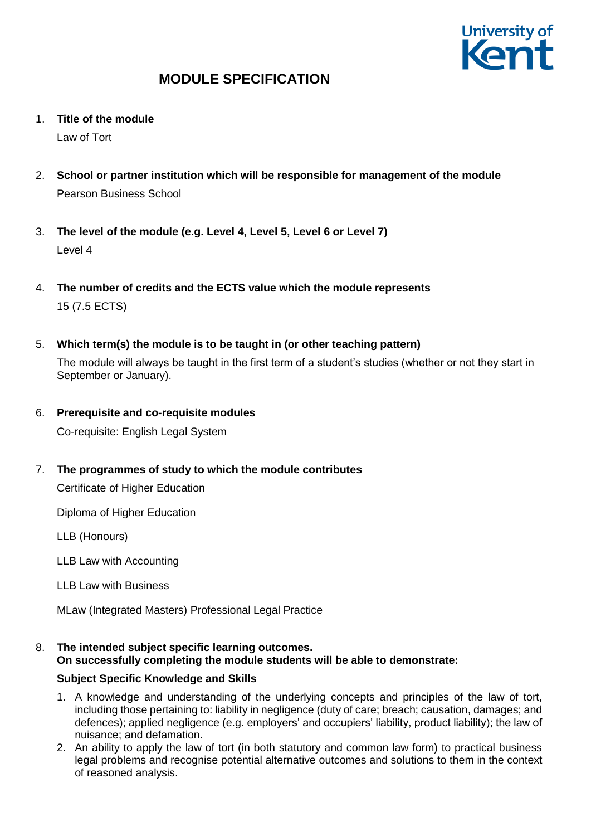

1. **Title of the module**

Law of Tort

- 2. **School or partner institution which will be responsible for management of the module** Pearson Business School
- 3. **The level of the module (e.g. Level 4, Level 5, Level 6 or Level 7)** Level 4
- 4. **The number of credits and the ECTS value which the module represents**  15 (7.5 ECTS)
- 5. **Which term(s) the module is to be taught in (or other teaching pattern)**

The module will always be taught in the first term of a student's studies (whether or not they start in September or January).

6. **Prerequisite and co-requisite modules**

Co-requisite: English Legal System

7. **The programmes of study to which the module contributes**

Certificate of Higher Education

Diploma of Higher Education

LLB (Honours)

LLB Law with Accounting

LLB Law with Business

MLaw (Integrated Masters) Professional Legal Practice

#### 8. **The intended subject specific learning outcomes. On successfully completing the module students will be able to demonstrate:**

### **Subject Specific Knowledge and Skills**

- 1. A knowledge and understanding of the underlying concepts and principles of the law of tort, including those pertaining to: liability in negligence (duty of care; breach; causation, damages; and defences); applied negligence (e.g. employers' and occupiers' liability, product liability); the law of nuisance; and defamation.
- 2. An ability to apply the law of tort (in both statutory and common law form) to practical business legal problems and recognise potential alternative outcomes and solutions to them in the context of reasoned analysis.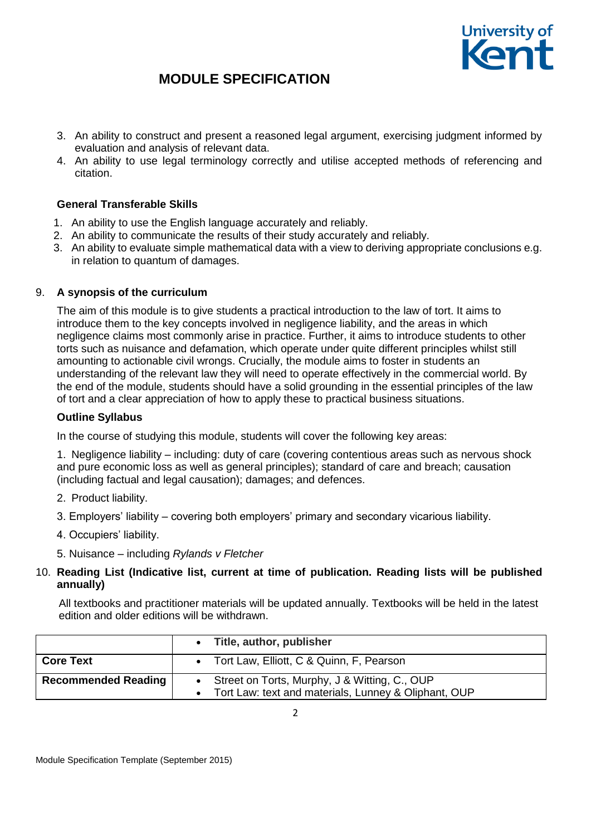

- 3. An ability to construct and present a reasoned legal argument, exercising judgment informed by evaluation and analysis of relevant data.
- 4. An ability to use legal terminology correctly and utilise accepted methods of referencing and citation.

### **General Transferable Skills**

- 1. An ability to use the English language accurately and reliably.
- 2. An ability to communicate the results of their study accurately and reliably.
- 3. An ability to evaluate simple mathematical data with a view to deriving appropriate conclusions e.g. in relation to quantum of damages.

### 9. **A synopsis of the curriculum**

The aim of this module is to give students a practical introduction to the law of tort. It aims to introduce them to the key concepts involved in negligence liability, and the areas in which negligence claims most commonly arise in practice. Further, it aims to introduce students to other torts such as nuisance and defamation, which operate under quite different principles whilst still amounting to actionable civil wrongs. Crucially, the module aims to foster in students an understanding of the relevant law they will need to operate effectively in the commercial world. By the end of the module, students should have a solid grounding in the essential principles of the law of tort and a clear appreciation of how to apply these to practical business situations.

#### **Outline Syllabus**

In the course of studying this module, students will cover the following key areas:

1. Negligence liability – including: duty of care (covering contentious areas such as nervous shock and pure economic loss as well as general principles); standard of care and breach; causation (including factual and legal causation); damages; and defences.

- 2. Product liability.
- 3. Employers' liability covering both employers' primary and secondary vicarious liability.
- 4. Occupiers' liability.
- 5. Nuisance including *Rylands v Fletcher*
- 10. **Reading List (Indicative list, current at time of publication. Reading lists will be published annually)**

All textbooks and practitioner materials will be updated annually. Textbooks will be held in the latest edition and older editions will be withdrawn.

|                            | • Title, author, publisher                                                                                |  |  |  |
|----------------------------|-----------------------------------------------------------------------------------------------------------|--|--|--|
| <b>Core Text</b>           | • Tort Law, Elliott, C & Quinn, F, Pearson                                                                |  |  |  |
| <b>Recommended Reading</b> | • Street on Torts, Murphy, J & Witting, C., OUP<br>• Tort Law: text and materials, Lunney & Oliphant, OUP |  |  |  |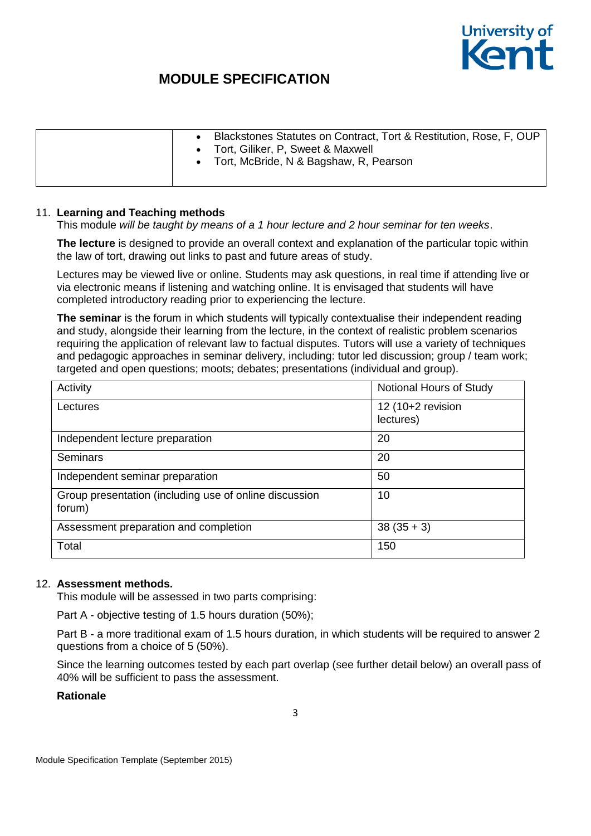

|  | Blackstones Statutes on Contract, Tort & Restitution, Rose, F, OUP<br>Tort, Giliker, P. Sweet & Maxwell<br>Tort, McBride, N & Bagshaw, R, Pearson |
|--|---------------------------------------------------------------------------------------------------------------------------------------------------|
|--|---------------------------------------------------------------------------------------------------------------------------------------------------|

#### 11. **Learning and Teaching methods**

This module *will be taught by means of a 1 hour lecture and 2 hour seminar for ten weeks*.

**The lecture** is designed to provide an overall context and explanation of the particular topic within the law of tort, drawing out links to past and future areas of study.

Lectures may be viewed live or online. Students may ask questions, in real time if attending live or via electronic means if listening and watching online. It is envisaged that students will have completed introductory reading prior to experiencing the lecture.

**The seminar** is the forum in which students will typically contextualise their independent reading and study, alongside their learning from the lecture, in the context of realistic problem scenarios requiring the application of relevant law to factual disputes. Tutors will use a variety of techniques and pedagogic approaches in seminar delivery, including: tutor led discussion; group / team work; targeted and open questions; moots; debates; presentations (individual and group).

| Activity                                                         | Notional Hours of Study          |
|------------------------------------------------------------------|----------------------------------|
| Lectures                                                         | 12 $(10+2$ revision<br>lectures) |
| Independent lecture preparation                                  | 20                               |
| Seminars                                                         | 20                               |
| Independent seminar preparation                                  | 50                               |
| Group presentation (including use of online discussion<br>forum) | 10                               |
| Assessment preparation and completion                            | $38(35+3)$                       |
| Total                                                            | 150                              |

#### 12. **Assessment methods.**

This module will be assessed in two parts comprising:

Part A - objective testing of 1.5 hours duration (50%);

Part B - a more traditional exam of 1.5 hours duration, in which students will be required to answer 2 questions from a choice of 5 (50%).

Since the learning outcomes tested by each part overlap (see further detail below) an overall pass of 40% will be sufficient to pass the assessment.

#### **Rationale**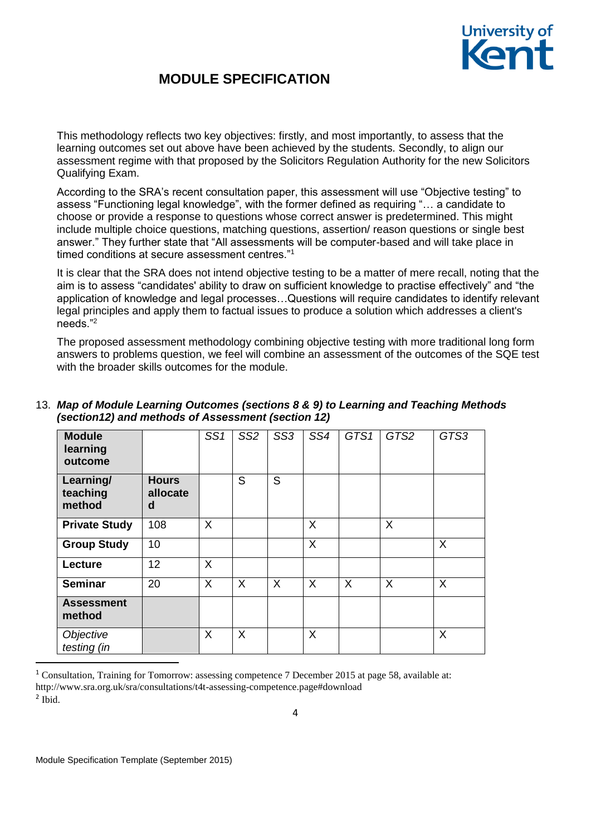

This methodology reflects two key objectives: firstly, and most importantly, to assess that the learning outcomes set out above have been achieved by the students. Secondly, to align our assessment regime with that proposed by the Solicitors Regulation Authority for the new Solicitors Qualifying Exam.

According to the SRA's recent consultation paper, this assessment will use "Objective testing" to assess "Functioning legal knowledge", with the former defined as requiring "… a candidate to choose or provide a response to questions whose correct answer is predetermined. This might include multiple choice questions, matching questions, assertion/ reason questions or single best answer." They further state that "All assessments will be computer-based and will take place in timed conditions at secure assessment centres."<sup>1</sup>

It is clear that the SRA does not intend objective testing to be a matter of mere recall, noting that the aim is to assess "candidates' ability to draw on sufficient knowledge to practise effectively" and "the application of knowledge and legal processes…Questions will require candidates to identify relevant legal principles and apply them to factual issues to produce a solution which addresses a client's needs."<sup>2</sup>

The proposed assessment methodology combining objective testing with more traditional long form answers to problems question, we feel will combine an assessment of the outcomes of the SQE test with the broader skills outcomes for the module.

| <b>Module</b><br>learning<br>outcome |                               | SS1 | SS <sub>2</sub> | SS <sub>3</sub> | SS4 | GTS1    | GTS2 | GTS3    |
|--------------------------------------|-------------------------------|-----|-----------------|-----------------|-----|---------|------|---------|
| Learning/<br>teaching<br>method      | <b>Hours</b><br>allocate<br>d |     | S               | S               |     |         |      |         |
| <b>Private Study</b>                 | 108                           | X   |                 |                 | X   |         | X    |         |
| <b>Group Study</b>                   | 10                            |     |                 |                 | X   |         |      | $\sf X$ |
| Lecture                              | 12                            | X   |                 |                 |     |         |      |         |
| <b>Seminar</b>                       | 20                            | X   | X               | X               | X   | $\sf X$ | X    | $\sf X$ |
| <b>Assessment</b><br>method          |                               |     |                 |                 |     |         |      |         |
| Objective<br>testing (in             |                               | X   | X               |                 | X   |         |      | X       |

## 13. *Map of Module Learning Outcomes (sections 8 & 9) to Learning and Teaching Methods (section12) and methods of Assessment (section 12)*

<sup>1</sup> Consultation, Training for Tomorrow: assessing competence 7 December 2015 at page 58, available at: http://www.sra.org.uk/sra/consultations/t4t-assessing-competence.page#download

1

<sup>2</sup> Ibid.